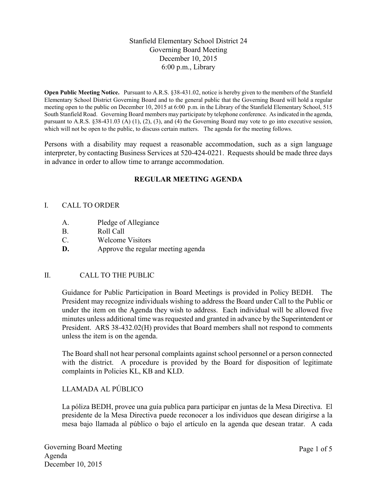# Stanfield Elementary School District 24 Governing Board Meeting December 10, 2015 6:00 p.m., Library

**Open Public Meeting Notice.** Pursuant to A.R.S. §38-431.02, notice is hereby given to the members of the Stanfield Elementary School District Governing Board and to the general public that the Governing Board will hold a regular meeting open to the public on December 10, 2015 at 6:00 p.m. in the Library of the Stanfield Elementary School, 515 South Stanfield Road. Governing Board members may participate by telephone conference. As indicated in the agenda, pursuant to A.R.S. §38-431.03 (A) (1), (2), (3), and (4) the Governing Board may vote to go into executive session, which will not be open to the public, to discuss certain matters. The agenda for the meeting follows.

Persons with a disability may request a reasonable accommodation, such as a sign language interpreter, by contacting Business Services at 520-424-0221. Requests should be made three days in advance in order to allow time to arrange accommodation.

# **REGULAR MEETING AGENDA**

# I. CALL TO ORDER

- A. Pledge of Allegiance
- B. Roll Call
- C. Welcome Visitors
- **D.** Approve the regular meeting agenda

# II. CALL TO THE PUBLIC

Guidance for Public Participation in Board Meetings is provided in Policy BEDH. The President may recognize individuals wishing to address the Board under Call to the Public or under the item on the Agenda they wish to address. Each individual will be allowed five minutes unless additional time was requested and granted in advance by the Superintendent or President. ARS 38-432.02(H) provides that Board members shall not respond to comments unless the item is on the agenda.

The Board shall not hear personal complaints against school personnel or a person connected with the district. A procedure is provided by the Board for disposition of legitimate complaints in Policies KL, KB and KLD.

# LLAMADA AL PÚBLICO

La póliza BEDH, provee una guía publica para participar en juntas de la Mesa Directiva. El presidente de la Mesa Directiva puede reconocer a los individuos que desean dirigirse a la mesa bajo llamada al público o bajo el artículo en la agenda que desean tratar. A cada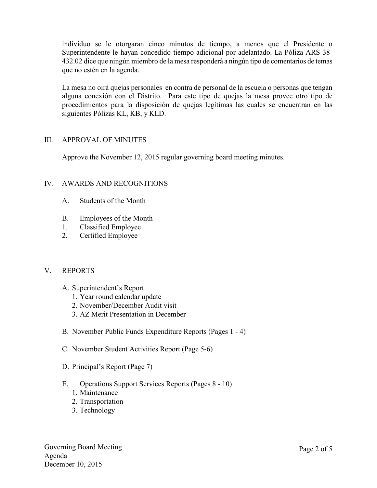individuo se le otorgaran cinco minutos de tiempo, a menos que el Presidente o Superintendente le hayan concedido tiempo adicional por adelantado. La Póliza ARS 38- 432.02 dice que ningún miembro de la mesa responderá a ningún tipo de comentarios de temas que no estén en la agenda.

La mesa no oirá quejas personales en contra de personal de la escuela o personas que tengan alguna conexión con el Distrito. Para este tipo de quejas la mesa provee otro tipo de procedimientos para la disposición de quejas legítimas las cuales se encuentran en las siguientes Pólizas KL, KB, y KLD.

### III. APPROVAL OF MINUTES

Approve the November 12, 2015 regular governing board meeting minutes.

# IV. AWARDS AND RECOGNITIONS

- A. Students of the Month
- B. Employees of the Month
- 1. Classified Employee
- 2. Certified Employee

#### V. REPORTS

- A. Superintendent's Report
	- 1. Year round calendar update
	- 2. November/December Audit visit
	- 3. AZ Merit Presentation in December
- B. November Public Funds Expenditure Reports (Pages 1 4)
- C. November Student Activities Report (Page 5-6)
- D. Principal's Report (Page 7)
- E. Operations Support Services Reports (Pages 8 10)
	- 1. Maintenance
	- 2. Transportation
	- 3. Technology

Governing Board Meeting Agenda December 10, 2015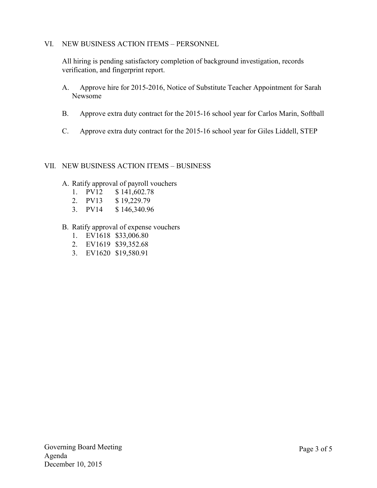### VI. NEW BUSINESS ACTION ITEMS – PERSONNEL

All hiring is pending satisfactory completion of background investigation, records verification, and fingerprint report.

- A. Approve hire for 2015-2016, Notice of Substitute Teacher Appointment for Sarah Newsome
- B. Approve extra duty contract for the 2015-16 school year for Carlos Marin, Softball
- C. Approve extra duty contract for the 2015-16 school year for Giles Liddell, STEP

#### VII. NEW BUSINESS ACTION ITEMS – BUSINESS

- A. Ratify approval of payroll vouchers
	- 1. PV12 \$ 141,602.78
	- 2. PV13 \$ 19,229.79
	- 3. PV14 \$ 146,340.96
- B. Ratify approval of expense vouchers
	- 1. EV1618 \$33,006.80
	- 2. EV1619 \$39,352.68
	- 3. EV1620 \$19,580.91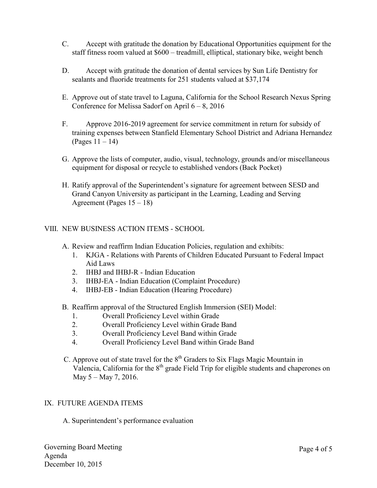- C. Accept with gratitude the donation by Educational Opportunities equipment for the staff fitness room valued at \$600 – treadmill, elliptical, stationary bike, weight bench
- D. Accept with gratitude the donation of dental services by Sun Life Dentistry for sealants and fluoride treatments for 251 students valued at \$37,174
- E. Approve out of state travel to Laguna, California for the School Research Nexus Spring Conference for Melissa Sadorf on April  $6 - 8$ , 2016
- F. Approve 2016-2019 agreement for service commitment in return for subsidy of training expenses between Stanfield Elementary School District and Adriana Hernandez (Pages 11 – 14)
- G. Approve the lists of computer, audio, visual, technology, grounds and/or miscellaneous equipment for disposal or recycle to established vendors (Back Pocket)
- H. Ratify approval of the Superintendent's signature for agreement between SESD and Grand Canyon University as participant in the Learning, Leading and Serving Agreement (Pages 15 – 18)

### VIII. NEW BUSINESS ACTION ITEMS - SCHOOL

- A. Review and reaffirm Indian Education Policies, regulation and exhibits:
	- 1. KJGA Relations with Parents of Children Educated Pursuant to Federal Impact Aid Laws
	- 2. IHBJ and IHBJ-R Indian Education
	- 3. IHBJ-EA Indian Education (Complaint Procedure)
	- 4. IHBJ-EB Indian Education (Hearing Procedure)
- B. Reaffirm approval of the Structured English Immersion (SEI) Model:
	- 1. Overall Proficiency Level within Grade
	- 2. Overall Proficiency Level within Grade Band
	- 3. Overall Proficiency Level Band within Grade
	- 4. Overall Proficiency Level Band within Grade Band
- C. Approve out of state travel for the  $8<sup>th</sup>$  Graders to Six Flags Magic Mountain in Valencia, California for the  $8<sup>th</sup>$  grade Field Trip for eligible students and chaperones on May 5 – May 7, 2016.

#### IX. FUTURE AGENDA ITEMS

A. Superintendent's performance evaluation